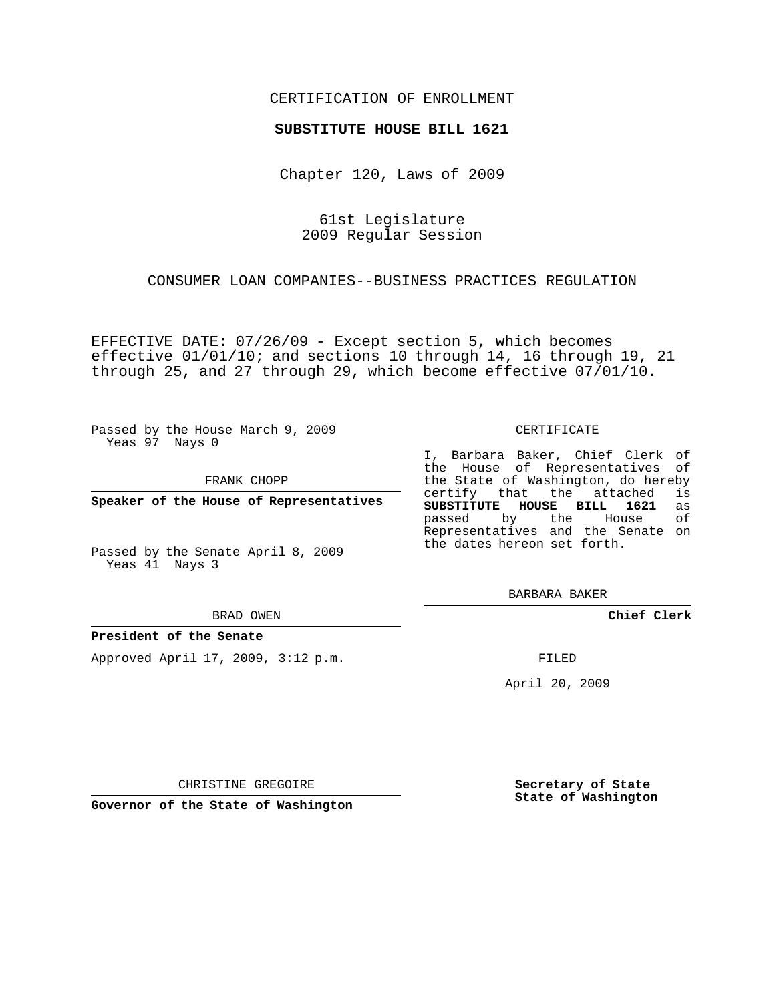### CERTIFICATION OF ENROLLMENT

#### **SUBSTITUTE HOUSE BILL 1621**

Chapter 120, Laws of 2009

61st Legislature 2009 Regular Session

CONSUMER LOAN COMPANIES--BUSINESS PRACTICES REGULATION

EFFECTIVE DATE: 07/26/09 - Except section 5, which becomes effective 01/01/10; and sections 10 through 14, 16 through 19, 21 through 25, and 27 through 29, which become effective 07/01/10.

Passed by the House March 9, 2009 Yeas 97 Nays 0

FRANK CHOPP

**Speaker of the House of Representatives**

Passed by the Senate April 8, 2009 Yeas 41 Nays 3

BRAD OWEN

#### **President of the Senate**

Approved April 17, 2009, 3:12 p.m.

CERTIFICATE

I, Barbara Baker, Chief Clerk of the House of Representatives of the State of Washington, do hereby<br>certify that the attached is certify that the attached is<br>SUBSTITUTE HOUSE BILL 1621 as **SUBSTITUTE HOUSE BILL 1621** passed by the House of Representatives and the Senate on the dates hereon set forth.

BARBARA BAKER

**Chief Clerk**

FILED

April 20, 2009

CHRISTINE GREGOIRE

**Governor of the State of Washington**

**Secretary of State State of Washington**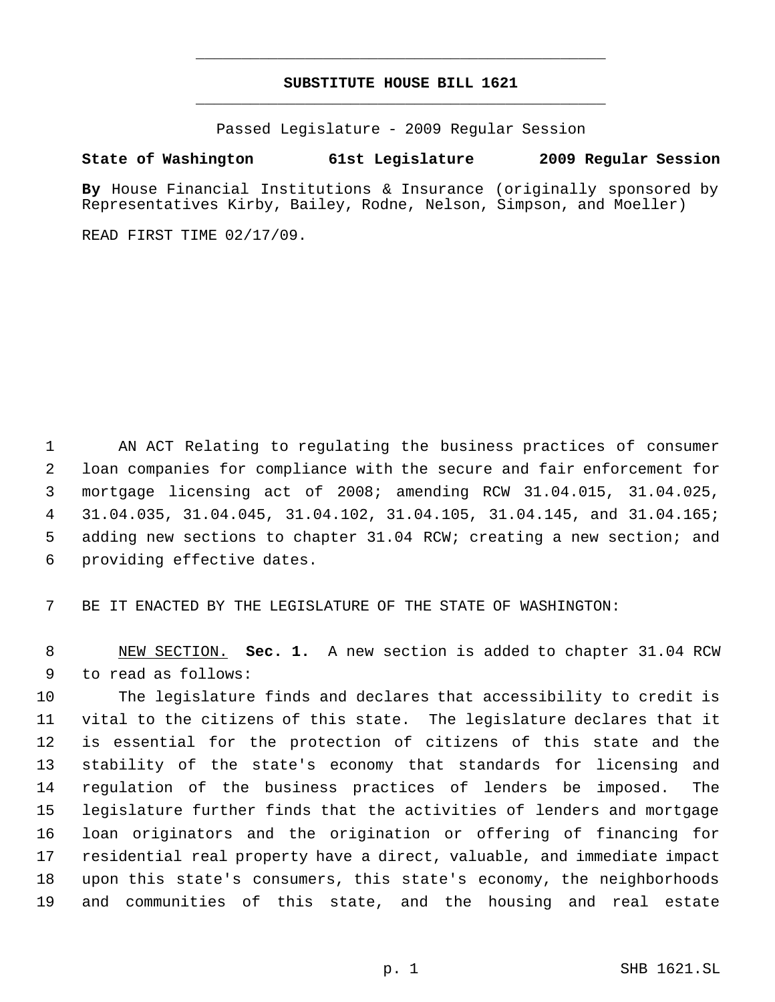# **SUBSTITUTE HOUSE BILL 1621** \_\_\_\_\_\_\_\_\_\_\_\_\_\_\_\_\_\_\_\_\_\_\_\_\_\_\_\_\_\_\_\_\_\_\_\_\_\_\_\_\_\_\_\_\_

\_\_\_\_\_\_\_\_\_\_\_\_\_\_\_\_\_\_\_\_\_\_\_\_\_\_\_\_\_\_\_\_\_\_\_\_\_\_\_\_\_\_\_\_\_

Passed Legislature - 2009 Regular Session

## **State of Washington 61st Legislature 2009 Regular Session**

**By** House Financial Institutions & Insurance (originally sponsored by Representatives Kirby, Bailey, Rodne, Nelson, Simpson, and Moeller)

READ FIRST TIME 02/17/09.

 AN ACT Relating to regulating the business practices of consumer loan companies for compliance with the secure and fair enforcement for mortgage licensing act of 2008; amending RCW 31.04.015, 31.04.025, 31.04.035, 31.04.045, 31.04.102, 31.04.105, 31.04.145, and 31.04.165; adding new sections to chapter 31.04 RCW; creating a new section; and providing effective dates.

BE IT ENACTED BY THE LEGISLATURE OF THE STATE OF WASHINGTON:

 NEW SECTION. **Sec. 1.** A new section is added to chapter 31.04 RCW to read as follows:

 The legislature finds and declares that accessibility to credit is vital to the citizens of this state. The legislature declares that it is essential for the protection of citizens of this state and the stability of the state's economy that standards for licensing and regulation of the business practices of lenders be imposed. The legislature further finds that the activities of lenders and mortgage loan originators and the origination or offering of financing for residential real property have a direct, valuable, and immediate impact upon this state's consumers, this state's economy, the neighborhoods and communities of this state, and the housing and real estate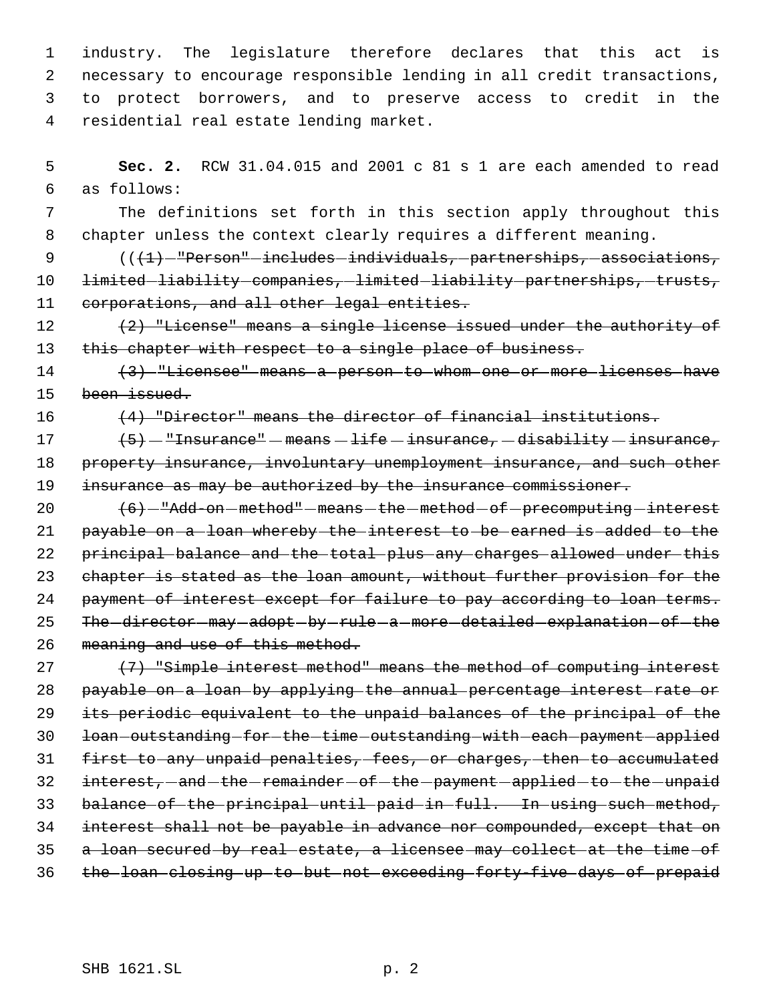industry. The legislature therefore declares that this act is necessary to encourage responsible lending in all credit transactions, to protect borrowers, and to preserve access to credit in the residential real estate lending market.

 5 **Sec. 2.** RCW 31.04.015 and 2001 c 81 s 1 are each amended to read 6 as follows:

 7 The definitions set forth in this section apply throughout this 8 chapter unless the context clearly requires a different meaning.

9  $((1)$  -"Person" -includes individuals, partnerships, associations, 10 limited liability companies, limited liability partnerships, trusts, 11 corporations, and all other legal entities.

12  $(2)$  "License" means a single license issued under the authority of 13 this chapter with respect to a single place of business.

14 (3) "Licensee" means a person to whom one or more licenses have 15 been issued.

16 (4) "Director" means the director of financial institutions.

17  $\left\{5\right\}$  - "Insurance" - means - life - insurance, - disability - insurance, 18 property insurance, involuntary unemployment insurance, and such other 19 insurance as may be authorized by the insurance commissioner.

20  $(6)$  -"Add-on-method" -means -the method -of -precomputing -interest 21 payable on a loan whereby the interest to be earned is added to the 22 principal balance and the total plus any charges allowed under this 23 chapter is stated as the loan amount, without further provision for the 24 payment of interest except for failure to pay according to loan terms. 25 The director may adopt by rule a more detailed explanation of the 26 meaning and use of this method.

27 (7) "Simple interest method" means the method of computing interest payable on a loan by applying the annual percentage interest rate or its periodic equivalent to the unpaid balances of the principal of the 30 loan outstanding for the time outstanding with each payment applied first to any unpaid penalties, fees, or charges, then to accumulated 32 interest, -and -the -remainder -of -the -payment -applied -to -the -unpaid balance of the principal until paid in full. In using such method, interest shall not be payable in advance nor compounded, except that on a loan secured by real estate, a licensee may collect at the time of the loan closing up to but not exceeding forty-five days of prepaid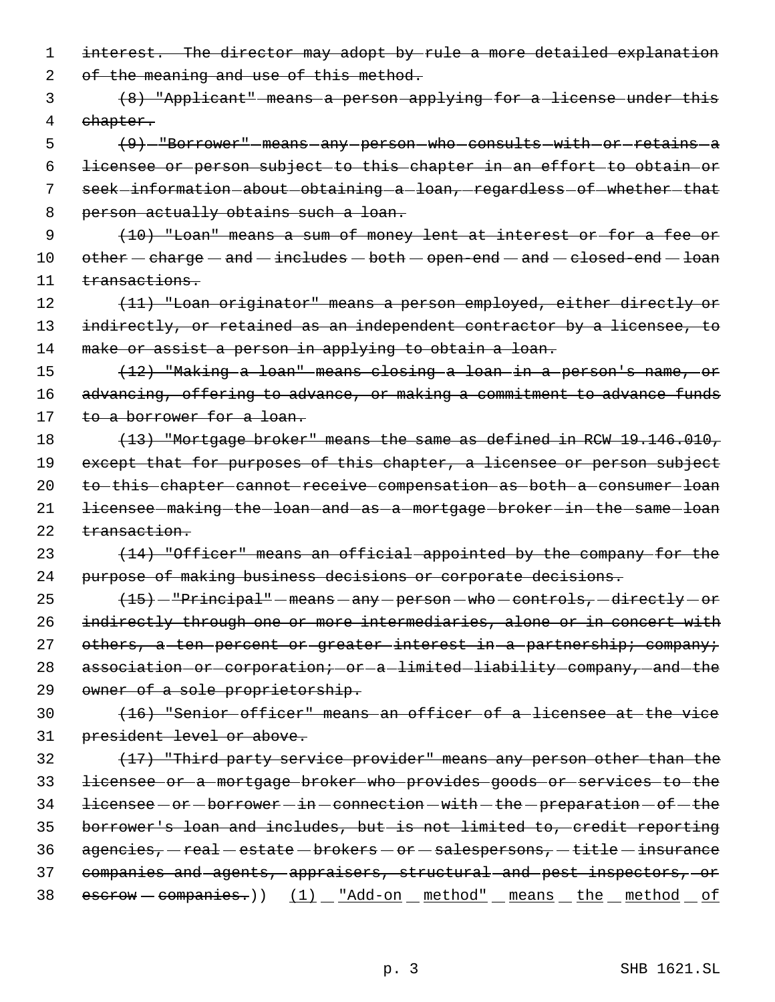1 interest. The director may adopt by rule a more detailed explanation

2 of the meaning and use of this method.

 3 (8) "Applicant" means a person applying for a license under this 4 chapter.

5 (9) - "Borrower" means any person who consults with or retains a 6 licensee or person subject to this chapter in an effort to obtain or 7 seek-information-about-obtaining-a-loan,-regardless-of-whether-that 8 person actually obtains such a loan.

 9 (10) "Loan" means a sum of money lent at interest or for a fee or  $10$  other  $-$  charge  $-$  and  $-$  includes  $-$  both  $-$  open-end  $-$  and  $-$  closed-end  $-$  loan 11 transactions.

12 (11) "Loan originator" means a person employed, either directly or 13 indirectly, or retained as an independent contractor by a licensee, to 14 make or assist a person in applying to obtain a loan.

15 (12) "Making a loan" means closing a loan in a person's name, or 16 advancing, offering to advance, or making a commitment to advance funds 17 to a borrower for a loan.

18 (13) "Mortgage broker" means the same as defined in RCW 19.146.010, 19 except that for purposes of this chapter, a licensee or person subject 20 to this chapter cannot receive compensation as both a consumer loan 21 licensee making the loan and as a mortgage broker in the same loan 22 transaction.

23 (14) "Officer" means an official appointed by the company for the 24 purpose of making business decisions or corporate decisions.

25  $(15)$  - "Principal" - means - any - person - who - controls, - directly - or 26 indirectly through one or more intermediaries, alone or in concert with 27 others, a ten percent or greater interest in a partnership; company; 28 association-or-corporation; - or - a - limited - liability - company, - and - the 29 owner of a sole proprietorship.

30 (16) "Senior officer" means an officer of a licensee at the vice 31 president level or above.

 (17) "Third party service provider" means any person other than the licensee or a mortgage broker who provides goods or services to the 34 licensee - or - borrower - in - connection - with - the - preparation - of - the borrower's loan and includes, but is not limited to, credit reporting  $agencies, -real - estate - brokers - or - sales persons, - title - insurance$  companies and agents, appraisers, structural and pest inspectors, or 38 escrow - companies.)) (1) \_ "Add-on \_ method" \_ means \_ the \_ method \_ of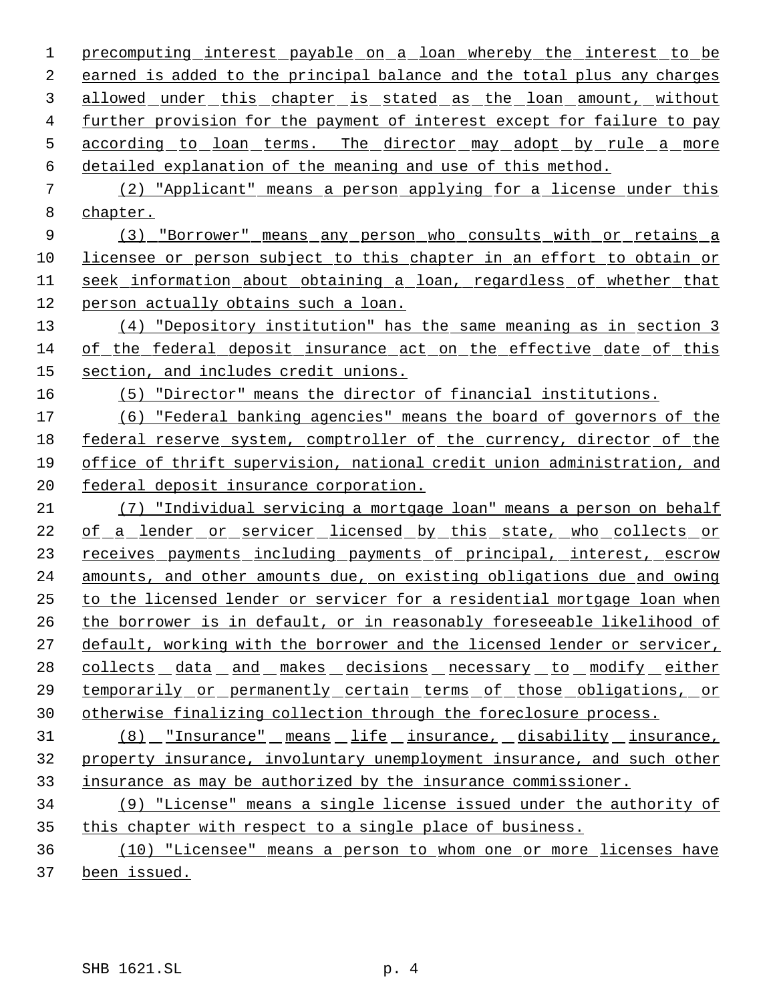1 precomputing interest payable on a loan whereby the interest to be earned is added to the principal balance and the total plus any charges allowed under this chapter is stated as the loan amount, without further provision for the payment of interest except for failure to pay 5 according to loan terms. The director may adopt by rule a more detailed explanation of the meaning and use of this method.

 (2) "Applicant" means a person applying for a license under this chapter.

9 (3) "Borrower" means any person who consults with or retains a licensee or person subject to this chapter in an effort to obtain or seek information about obtaining a loan, regardless of whether that person actually obtains such a loan.

 (4) "Depository institution" has the same meaning as in section 3 of the federal deposit insurance act on the effective date of this section, and includes credit unions.

(5) "Director" means the director of financial institutions.

 (6) "Federal banking agencies" means the board of governors of the federal reserve system, comptroller of the currency, director of the office of thrift supervision, national credit union administration, and federal deposit insurance corporation.

 (7) "Individual servicing a mortgage loan" means a person on behalf 22 of a lender or servicer licensed by this state, who collects or 23 receives payments including payments of principal, interest, escrow amounts, and other amounts due, on existing obligations due and owing to the licensed lender or servicer for a residential mortgage loan when the borrower is in default, or in reasonably foreseeable likelihood of default, working with the borrower and the licensed lender or servicer, 28 collects data and makes decisions necessary to modify either temporarily or permanently certain terms of those obligations, or otherwise finalizing collection through the foreclosure process.

 (8) "Insurance" means life insurance, disability insurance, property insurance, involuntary unemployment insurance, and such other insurance as may be authorized by the insurance commissioner.

 (9) "License" means a single license issued under the authority of 35 this chapter with respect to a single place of business.

 (10) "Licensee" means a person to whom one or more licenses have been issued.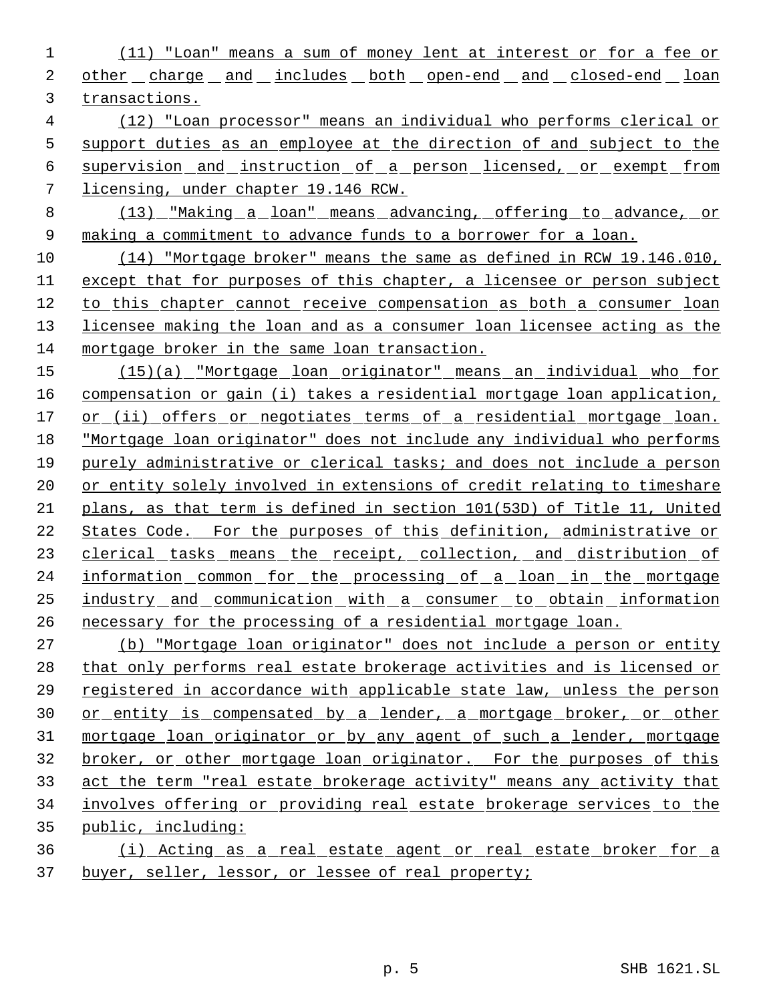(11) "Loan" means a sum of money lent at interest or for a fee or 2 other charge and includes both open-end and closed-end loan transactions.

 (12) "Loan processor" means an individual who performs clerical or support duties as an employee at the direction of and subject to the supervision and instruction of a person licensed, or exempt from licensing, under chapter 19.146 RCW.

 (13) "Making a loan" means advancing, offering to advance, or making a commitment to advance funds to a borrower for a loan.

 (14) "Mortgage broker" means the same as defined in RCW 19.146.010, except that for purposes of this chapter, a licensee or person subject to this chapter cannot receive compensation as both a consumer loan licensee making the loan and as a consumer loan licensee acting as the mortgage broker in the same loan transaction.

 (15)(a) "Mortgage loan originator" means an individual who for compensation or gain (i) takes a residential mortgage loan application, 17 or (ii) offers or negotiates terms of a residential mortgage loan. "Mortgage loan originator" does not include any individual who performs purely administrative or clerical tasks; and does not include a person 20 or entity solely involved in extensions of credit relating to timeshare plans, as that term is defined in section 101(53D) of Title 11, United States Code. For the purposes of this definition, administrative or 23 clerical tasks means the receipt, collection, and distribution of 24 information common for the processing of a loan in the mortgage industry and communication with a consumer to obtain information necessary for the processing of a residential mortgage loan.

 (b) "Mortgage loan originator" does not include a person or entity that only performs real estate brokerage activities and is licensed or registered in accordance with applicable state law, unless the person 30 or entity is compensated by a lender, a mortgage broker, or other mortgage loan originator or by any agent of such a lender, mortgage broker, or other mortgage loan originator. For the purposes of this act the term "real estate brokerage activity" means any activity that involves offering or providing real estate brokerage services to the public, including:

 (i) Acting as a real estate agent or real estate broker for a buyer, seller, lessor, or lessee of real property;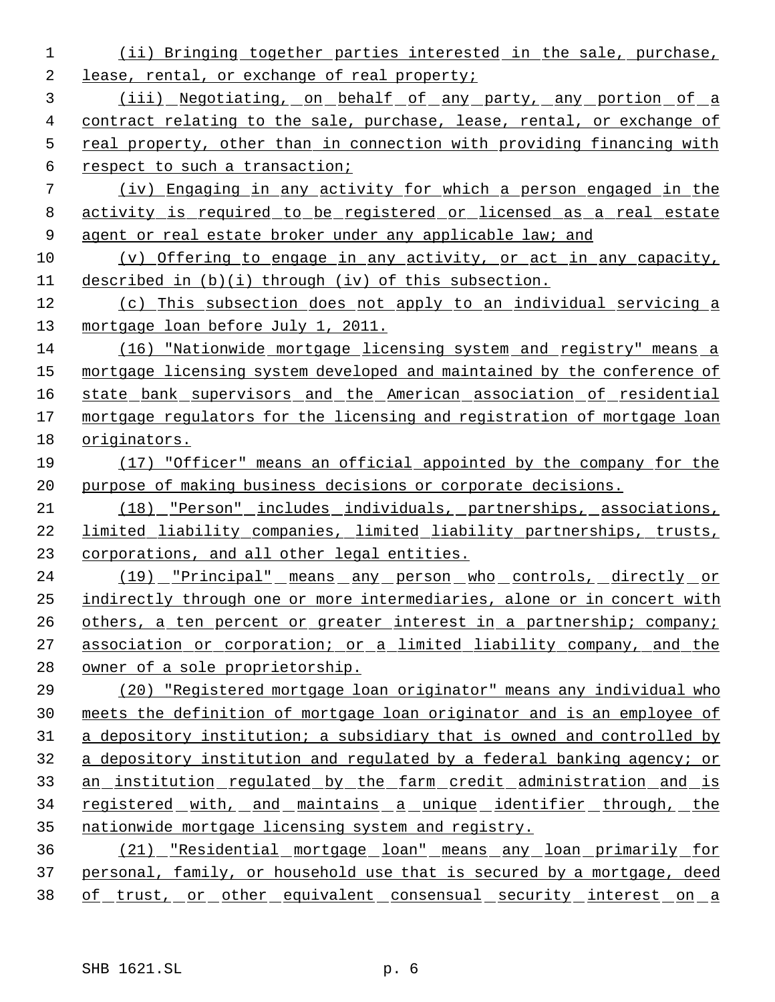(ii) Bringing together parties interested in the sale, purchase, lease, rental, or exchange of real property; (iii) Negotiating, on behalf of any party, any portion of a contract relating to the sale, purchase, lease, rental, or exchange of real property, other than in connection with providing financing with respect to such a transaction; (iv) Engaging in any activity for which a person engaged in the activity is required to be registered or licensed as a real estate agent or real estate broker under any applicable law; and (v) Offering to engage in any activity, or act in any capacity, described in (b)(i) through (iv) of this subsection. (c) This subsection does not apply to an individual servicing a 13 mortgage loan before July 1, 2011. (16) "Nationwide mortgage licensing system and registry" means a 15 mortgage licensing system developed and maintained by the conference of 16 state bank supervisors and the American association of residential 17 mortgage regulators for the licensing and registration of mortgage loan originators. (17) "Officer" means an official appointed by the company for the purpose of making business decisions or corporate decisions. (18) "Person" includes individuals, partnerships, associations, limited liability companies, limited liability partnerships, trusts, 23 corporations, and all other legal entities. (19) "Principal" means any person who controls, directly or indirectly through one or more intermediaries, alone or in concert with 26 others, a ten percent or greater interest in a partnership; company; association or corporation; or a limited liability company, and the owner of a sole proprietorship. (20) "Registered mortgage loan originator" means any individual who meets the definition of mortgage loan originator and is an employee of 31 a depository institution; a subsidiary that is owned and controlled by a depository institution and regulated by a federal banking agency; or an institution regulated by the farm credit administration and is 34 registered with, and maintains a unique identifier through, the nationwide mortgage licensing system and registry. (21) "Residential mortgage loan" means any loan primarily for personal, family, or household use that is secured by a mortgage, deed 38 of trust, or other equivalent consensual security interest on a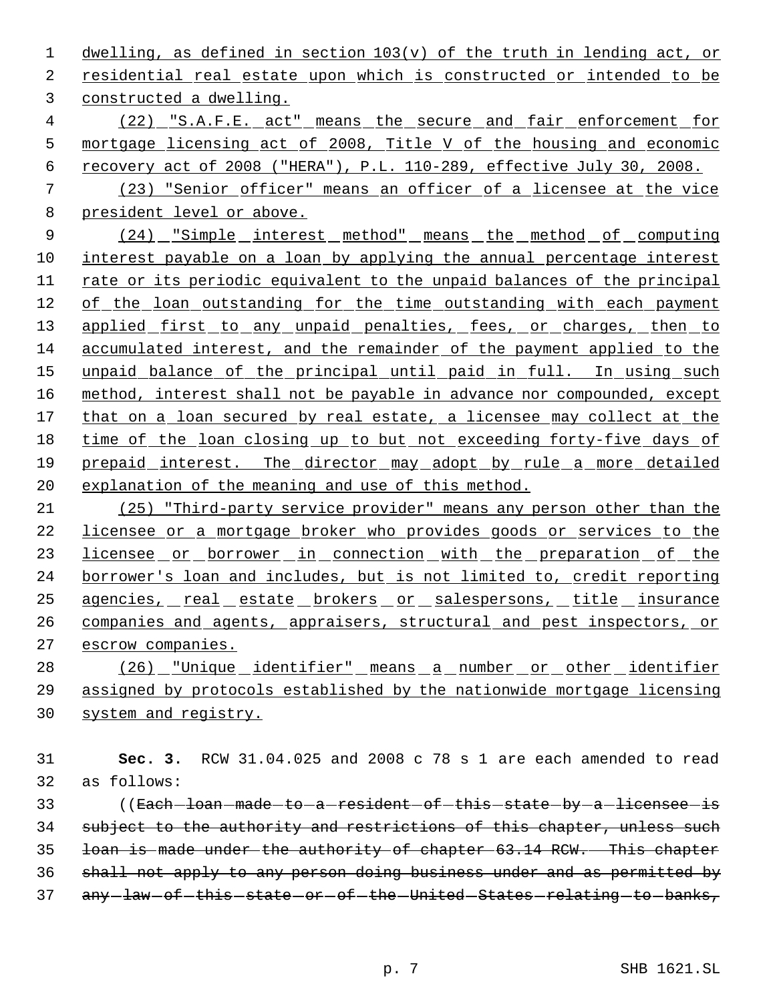dwelling, as defined in section 103(v) of the truth in lending act, or residential real estate upon which is constructed or intended to be constructed a dwelling.

 (22) "S.A.F.E. act" means the secure and fair enforcement for mortgage licensing act of 2008, Title V of the housing and economic recovery act of 2008 ("HERA"), P.L. 110-289, effective July 30, 2008.

 (23) "Senior officer" means an officer of a licensee at the vice president level or above.

9 (24) "Simple interest method" means the method of computing interest payable on a loan by applying the annual percentage interest rate or its periodic equivalent to the unpaid balances of the principal of the loan outstanding for the time outstanding with each payment 13 applied first to any unpaid penalties, fees, or charges, then to accumulated interest, and the remainder of the payment applied to the 15 unpaid balance of the principal until paid in full. In using such 16 method, interest shall not be payable in advance nor compounded, except 17 that on a loan secured by real estate, a licensee may collect at the time of the loan closing up to but not exceeding forty-five days of prepaid interest. The director may adopt by rule a more detailed explanation of the meaning and use of this method.

 (25) "Third-party service provider" means any person other than the licensee or a mortgage broker who provides goods or services to the 23 licensee or borrower in connection with the preparation of the borrower's loan and includes, but is not limited to, credit reporting agencies, real estate brokers or salespersons, title insurance 26 companies and agents, appraisers, structural and pest inspectors, or escrow companies.

28 (26) "Unique identifier" means a number or other identifier assigned by protocols established by the nationwide mortgage licensing system and registry.

 **Sec. 3.** RCW 31.04.025 and 2008 c 78 s 1 are each amended to read as follows:

33 ((Each-loan-made-to-a-resident-of-this-state-by-a-licensee-is 34 subject to the authority and restrictions of this chapter, unless such loan is made under the authority of chapter 63.14 RCW. This chapter shall not apply to any person doing business under and as permitted by 37 any law of this state or of the United States relating to banks,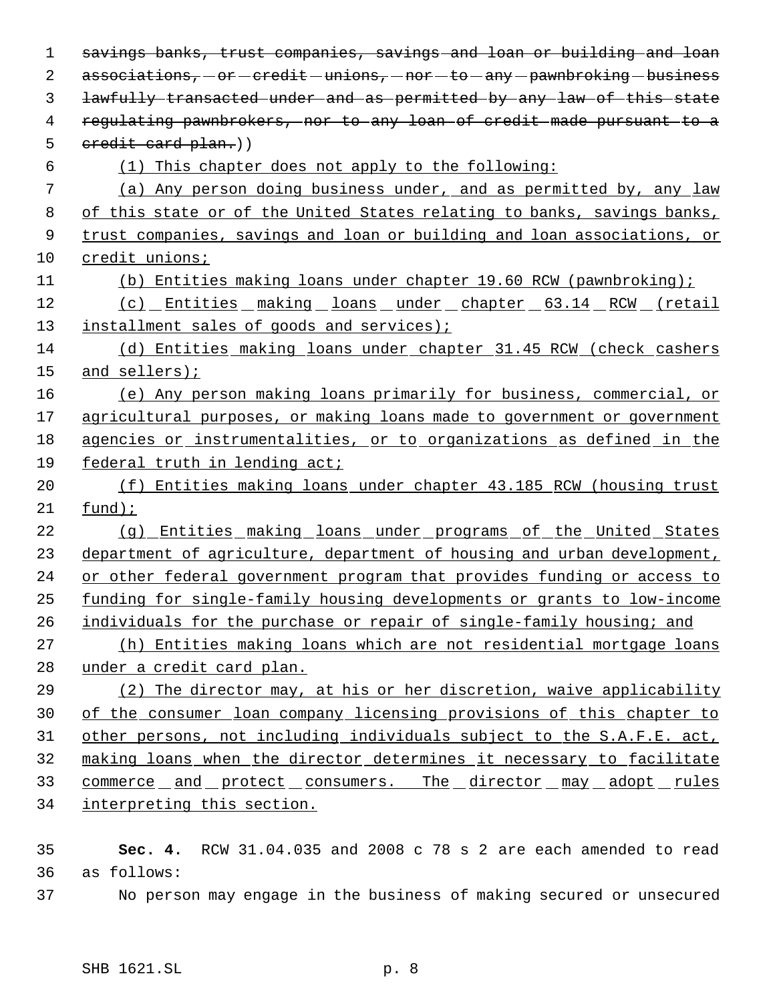| 1  | savings banks, trust companies, savings and loan or building and loan      |
|----|----------------------------------------------------------------------------|
| 2  | $associations, -or—credit—unions, -nor +6 - any — pawnbreoking — business$ |
| 3  | lawfully transacted under and as permitted by any law of this state        |
| 4  | regulating pawnbrokers, nor to any loan of credit made pursuant to a       |
| 5  | eredit card plan.))                                                        |
| 6  | (1) This chapter does not apply to the following:                          |
| 7  | (a) Any person doing business under, and as permitted by, any law          |
| 8  | of this state or of the United States relating to banks, savings banks,    |
| 9  | trust companies, savings and loan or building and loan associations, or    |
| 10 | credit unions;                                                             |
| 11 | (b) Entities making loans under chapter 19.60 RCW (pawnbroking);           |
| 12 | (c) Entities making loans under chapter 63.14 RCW (retail                  |
| 13 | installment sales of goods and services);                                  |
| 14 | (d) Entities making loans under chapter 31.45 RCW (check cashers           |
| 15 | and sellers);                                                              |
| 16 | (e) Any person making loans primarily for business, commercial, or         |
| 17 | agricultural purposes, or making loans made to government or government    |
| 18 | agencies or instrumentalities, or to organizations as defined in the       |
| 19 | federal truth in lending act;                                              |
| 20 | (f) Entities making loans under chapter 43.185 RCW (housing trust          |
| 21 | $fund$ );                                                                  |
| 22 | (g) Entities making loans under programs of the United States              |
| 23 | department of agriculture, department of housing and urban development,    |
| 24 | or other federal government program that provides funding or access to     |
| 25 | funding for single-family housing developments or grants to low-income     |
| 26 | individuals for the purchase or repair of single-family housing; and       |
| 27 | (h) Entities making loans which are not residential mortgage loans         |
| 28 | under a credit card plan.                                                  |
| 29 | (2) The director may, at his or her discretion, waive applicability        |
| 30 | of the consumer loan company licensing provisions of this chapter to       |
| 31 | other persons, not including individuals subject to the S.A.F.E. act,      |
| 32 | making loans when the director determines it necessary to facilitate       |
| 33 | <u>commerce and protect consumers. The director may adopt rules</u>        |
| 34 | interpreting this section.                                                 |
|    |                                                                            |

35 **Sec. 4.** RCW 31.04.035 and 2008 c 78 s 2 are each amended to read 36 as follows:

37 No person may engage in the business of making secured or unsecured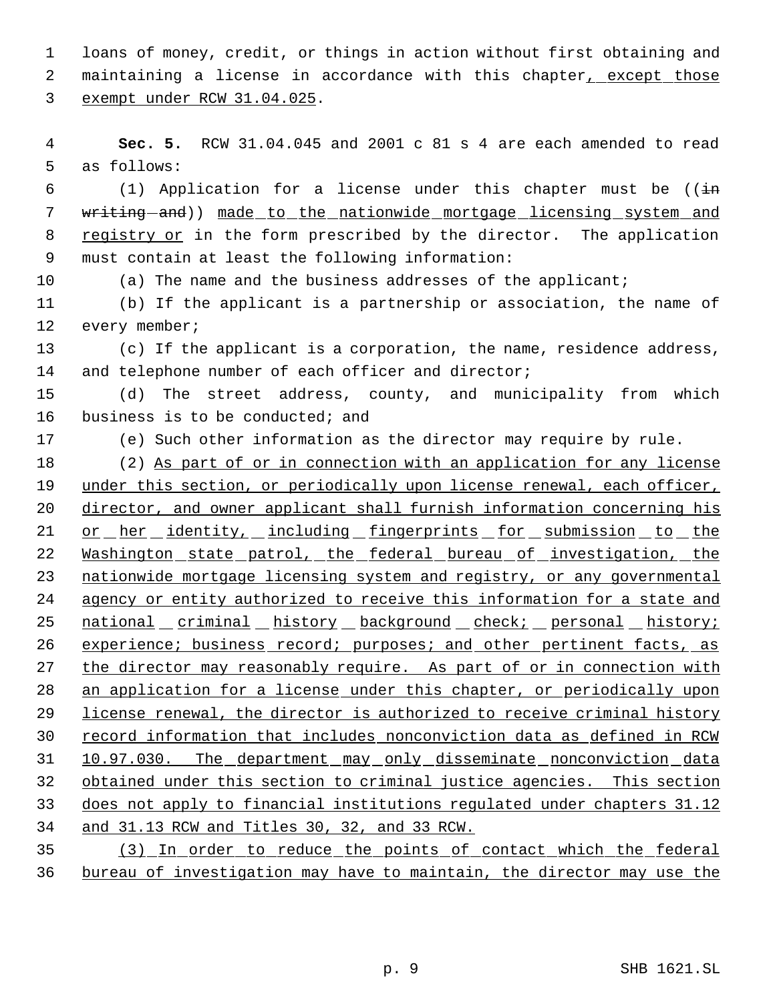1 loans of money, credit, or things in action without first obtaining and 2 maintaining a license in accordance with this chapter, except those 3 exempt under RCW 31.04.025.

 4 **Sec. 5.** RCW 31.04.045 and 2001 c 81 s 4 are each amended to read 5 as follows:

6 (1) Application for a license under this chapter must be ( $(i\text{in})$ 7 writing-and)) made to the nationwide mortgage licensing system and 8 registry or in the form prescribed by the director. The application 9 must contain at least the following information:

10 (a) The name and the business addresses of the applicant;

11 (b) If the applicant is a partnership or association, the name of 12 every member;

13 (c) If the applicant is a corporation, the name, residence address, 14 and telephone number of each officer and director;

15 (d) The street address, county, and municipality from which 16 business is to be conducted; and

17 (e) Such other information as the director may require by rule.

18 (2) As part of or in connection with an application for any license 19 under this section, or periodically upon license renewal, each officer, 20 director, and owner applicant shall furnish information concerning his 21 or her identity, including fingerprints for submission to the 22 Washington state patrol, the federal bureau of investigation, the 23 nationwide mortgage licensing system and registry, or any governmental 24 agency or entity authorized to receive this information for a state and 25 national criminal history background check; personal history; 26 experience; business record; purposes; and other pertinent facts, as 27 the director may reasonably require. As part of or in connection with 28 an application for a license under this chapter, or periodically upon 29 license renewal, the director is authorized to receive criminal history 30 record information that includes nonconviction data as defined in RCW 31 10.97.030. The department may only disseminate nonconviction data 32 obtained under this section to criminal justice agencies. This section 33 does not apply to financial institutions regulated under chapters 31.12 34 and 31.13 RCW and Titles 30, 32, and 33 RCW.

35 (3) In order to reduce the points of contact which the federal 36 bureau of investigation may have to maintain, the director may use the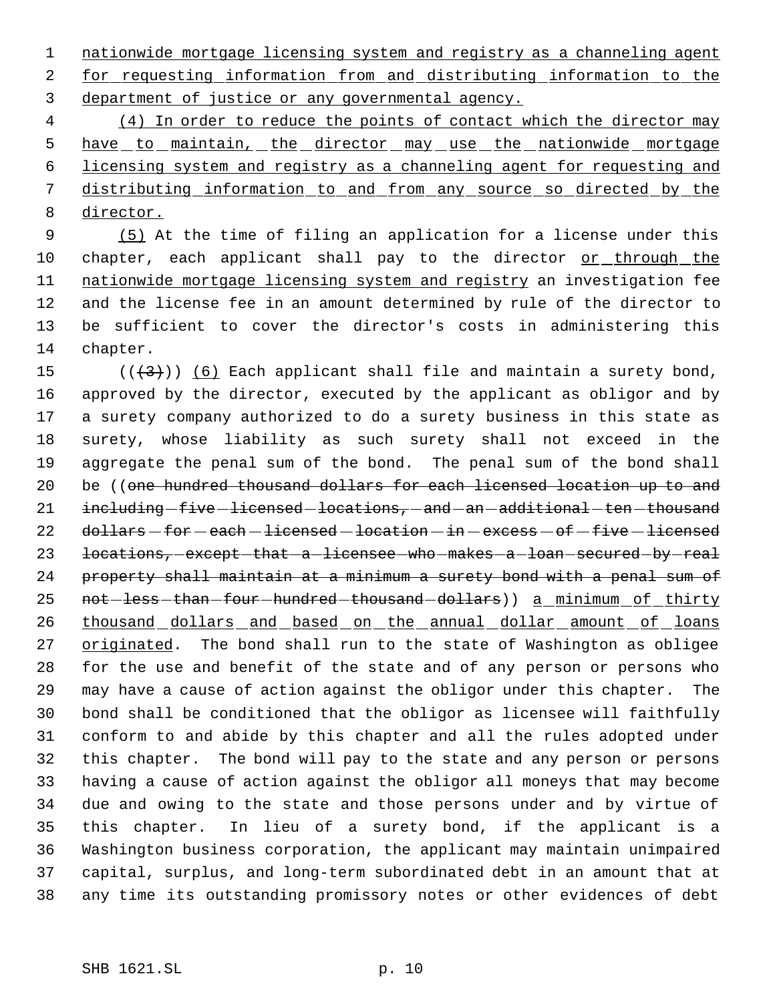nationwide mortgage licensing system and registry as a channeling agent for requesting information from and distributing information to the department of justice or any governmental agency.

 (4) In order to reduce the points of contact which the director may 5 have to maintain, the director may use the nationwide mortgage licensing system and registry as a channeling agent for requesting and distributing information to and from any source so directed by the director.

 (5) At the time of filing an application for a license under this 10 chapter, each applicant shall pay to the director or through the 11 nationwide mortgage licensing system and registry an investigation fee and the license fee in an amount determined by rule of the director to be sufficient to cover the director's costs in administering this chapter.

 $((+3))$   $(6)$  Each applicant shall file and maintain a surety bond, approved by the director, executed by the applicant as obligor and by a surety company authorized to do a surety business in this state as surety, whose liability as such surety shall not exceed in the aggregate the penal sum of the bond. The penal sum of the bond shall 20 be ((one hundred thousand dollars for each licensed location up to and 21 including five licensed locations, and an additional ten thousand 22 dollars - for - each - licensed - location - in - excess - of - five - licensed 23 locations, except that a licensee who makes a loan secured by real property shall maintain at a minimum a surety bond with a penal sum of 25 not less than four hundred thousand dollars)) a minimum of thirty 26 thousand dollars and based on the annual dollar amount of loans 27 originated. The bond shall run to the state of Washington as obligee for the use and benefit of the state and of any person or persons who may have a cause of action against the obligor under this chapter. The bond shall be conditioned that the obligor as licensee will faithfully conform to and abide by this chapter and all the rules adopted under this chapter. The bond will pay to the state and any person or persons having a cause of action against the obligor all moneys that may become due and owing to the state and those persons under and by virtue of this chapter. In lieu of a surety bond, if the applicant is a Washington business corporation, the applicant may maintain unimpaired capital, surplus, and long-term subordinated debt in an amount that at any time its outstanding promissory notes or other evidences of debt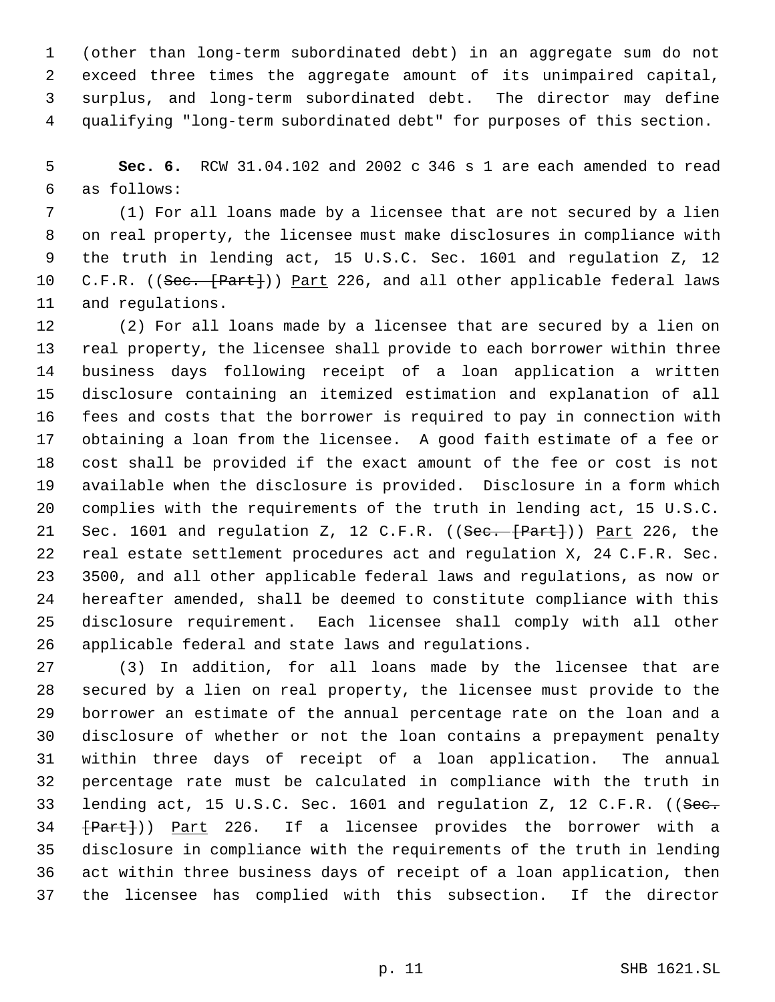(other than long-term subordinated debt) in an aggregate sum do not exceed three times the aggregate amount of its unimpaired capital, surplus, and long-term subordinated debt. The director may define qualifying "long-term subordinated debt" for purposes of this section.

 **Sec. 6.** RCW 31.04.102 and 2002 c 346 s 1 are each amended to read as follows:

 (1) For all loans made by a licensee that are not secured by a lien on real property, the licensee must make disclosures in compliance with the truth in lending act, 15 U.S.C. Sec. 1601 and regulation Z, 12 10 C.F.R. ((Sec. [Part])) Part 226, and all other applicable federal laws and regulations.

 (2) For all loans made by a licensee that are secured by a lien on real property, the licensee shall provide to each borrower within three business days following receipt of a loan application a written disclosure containing an itemized estimation and explanation of all fees and costs that the borrower is required to pay in connection with obtaining a loan from the licensee. A good faith estimate of a fee or cost shall be provided if the exact amount of the fee or cost is not available when the disclosure is provided. Disclosure in a form which complies with the requirements of the truth in lending act, 15 U.S.C. 21 Sec. 1601 and regulation Z, 12 C.F.R. ((Sec. [Part])) Part 226, the real estate settlement procedures act and regulation X, 24 C.F.R. Sec. 3500, and all other applicable federal laws and regulations, as now or hereafter amended, shall be deemed to constitute compliance with this disclosure requirement. Each licensee shall comply with all other applicable federal and state laws and regulations.

 (3) In addition, for all loans made by the licensee that are secured by a lien on real property, the licensee must provide to the borrower an estimate of the annual percentage rate on the loan and a disclosure of whether or not the loan contains a prepayment penalty within three days of receipt of a loan application. The annual percentage rate must be calculated in compliance with the truth in 33 lending act, 15 U.S.C. Sec. 1601 and regulation Z, 12 C.F.R. ((See.  $\{Part\})$ ) Part 226. If a licensee provides the borrower with a disclosure in compliance with the requirements of the truth in lending act within three business days of receipt of a loan application, then the licensee has complied with this subsection. If the director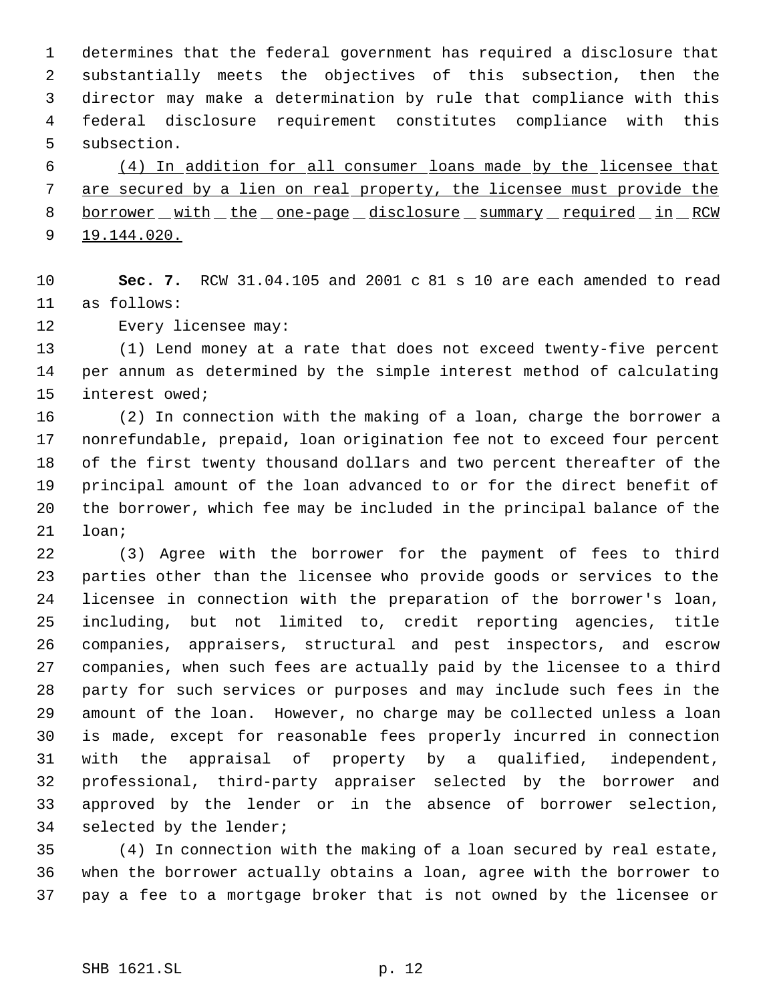determines that the federal government has required a disclosure that substantially meets the objectives of this subsection, then the director may make a determination by rule that compliance with this federal disclosure requirement constitutes compliance with this subsection.

 (4) In addition for all consumer loans made by the licensee that are secured by a lien on real property, the licensee must provide the 8 borrower with the one-page disclosure summary required in RCW 9 19.144.020.

 **Sec. 7.** RCW 31.04.105 and 2001 c 81 s 10 are each amended to read as follows:

Every licensee may:

 (1) Lend money at a rate that does not exceed twenty-five percent per annum as determined by the simple interest method of calculating interest owed;

 (2) In connection with the making of a loan, charge the borrower a nonrefundable, prepaid, loan origination fee not to exceed four percent of the first twenty thousand dollars and two percent thereafter of the principal amount of the loan advanced to or for the direct benefit of the borrower, which fee may be included in the principal balance of the loan;

 (3) Agree with the borrower for the payment of fees to third parties other than the licensee who provide goods or services to the licensee in connection with the preparation of the borrower's loan, including, but not limited to, credit reporting agencies, title companies, appraisers, structural and pest inspectors, and escrow companies, when such fees are actually paid by the licensee to a third party for such services or purposes and may include such fees in the amount of the loan. However, no charge may be collected unless a loan is made, except for reasonable fees properly incurred in connection with the appraisal of property by a qualified, independent, professional, third-party appraiser selected by the borrower and approved by the lender or in the absence of borrower selection, selected by the lender;

 (4) In connection with the making of a loan secured by real estate, when the borrower actually obtains a loan, agree with the borrower to pay a fee to a mortgage broker that is not owned by the licensee or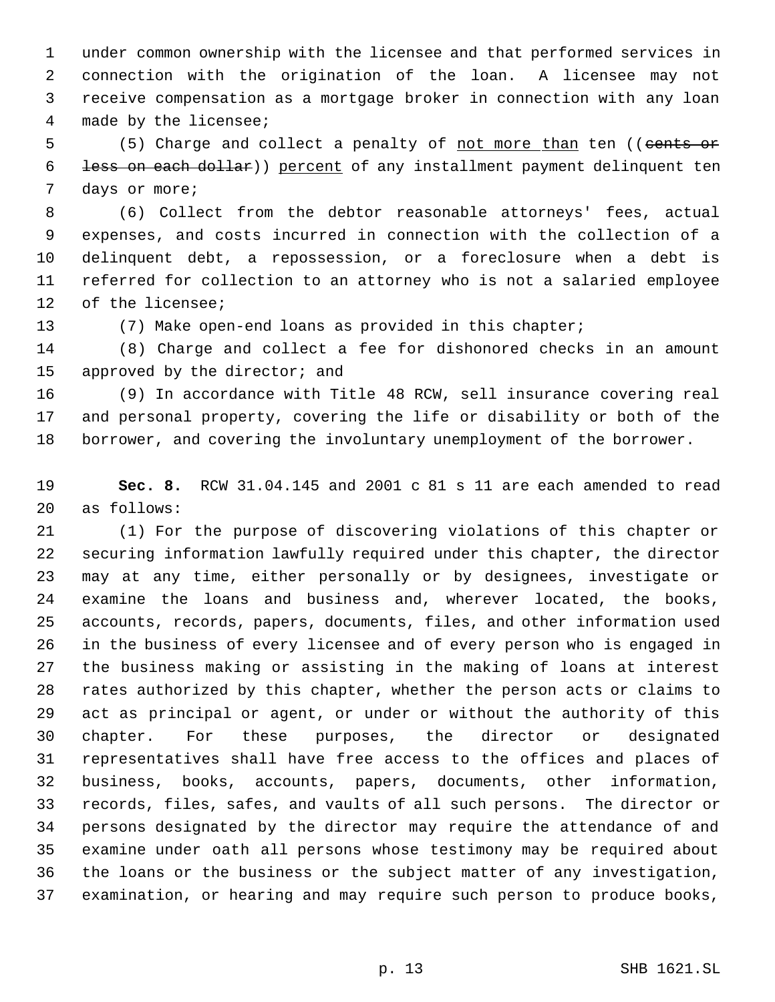under common ownership with the licensee and that performed services in connection with the origination of the loan. A licensee may not receive compensation as a mortgage broker in connection with any loan made by the licensee;

5 (5) Charge and collect a penalty of <u>not more than</u> ten ((cents or less on each dollar)) percent of any installment payment delinquent ten days or more;

 (6) Collect from the debtor reasonable attorneys' fees, actual expenses, and costs incurred in connection with the collection of a delinquent debt, a repossession, or a foreclosure when a debt is referred for collection to an attorney who is not a salaried employee of the licensee;

(7) Make open-end loans as provided in this chapter;

 (8) Charge and collect a fee for dishonored checks in an amount 15 approved by the director; and

 (9) In accordance with Title 48 RCW, sell insurance covering real and personal property, covering the life or disability or both of the borrower, and covering the involuntary unemployment of the borrower.

 **Sec. 8.** RCW 31.04.145 and 2001 c 81 s 11 are each amended to read as follows:

 (1) For the purpose of discovering violations of this chapter or securing information lawfully required under this chapter, the director may at any time, either personally or by designees, investigate or examine the loans and business and, wherever located, the books, accounts, records, papers, documents, files, and other information used in the business of every licensee and of every person who is engaged in the business making or assisting in the making of loans at interest rates authorized by this chapter, whether the person acts or claims to act as principal or agent, or under or without the authority of this chapter. For these purposes, the director or designated representatives shall have free access to the offices and places of business, books, accounts, papers, documents, other information, records, files, safes, and vaults of all such persons. The director or persons designated by the director may require the attendance of and examine under oath all persons whose testimony may be required about the loans or the business or the subject matter of any investigation, examination, or hearing and may require such person to produce books,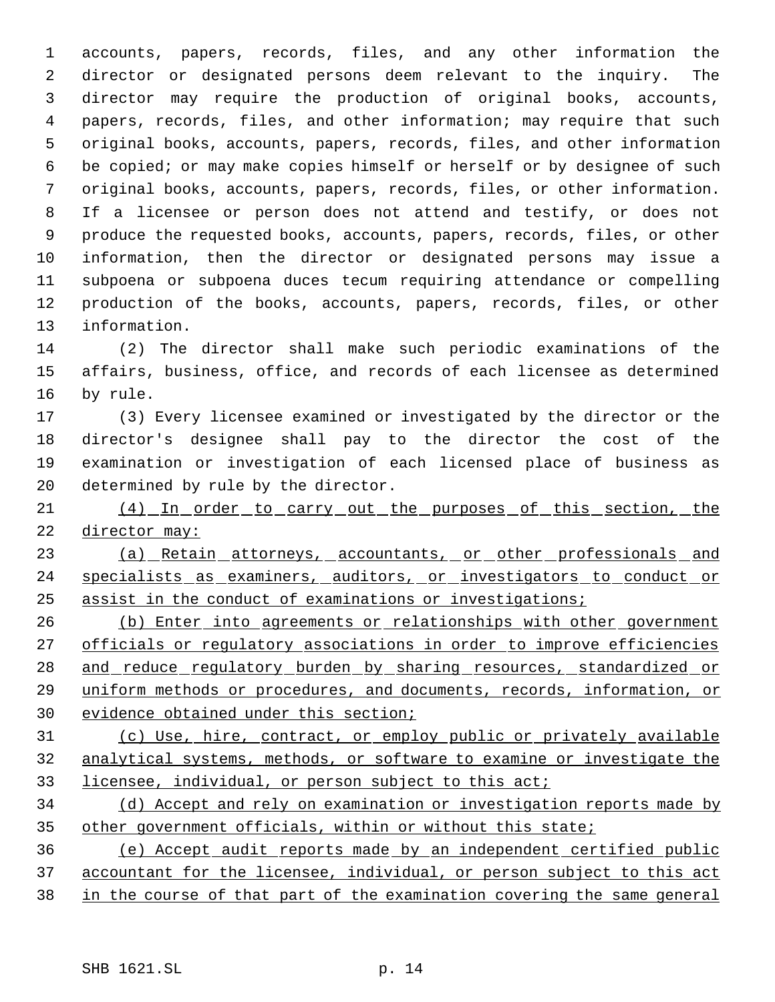accounts, papers, records, files, and any other information the director or designated persons deem relevant to the inquiry. The director may require the production of original books, accounts, papers, records, files, and other information; may require that such original books, accounts, papers, records, files, and other information be copied; or may make copies himself or herself or by designee of such original books, accounts, papers, records, files, or other information. If a licensee or person does not attend and testify, or does not produce the requested books, accounts, papers, records, files, or other information, then the director or designated persons may issue a subpoena or subpoena duces tecum requiring attendance or compelling production of the books, accounts, papers, records, files, or other information.

 (2) The director shall make such periodic examinations of the affairs, business, office, and records of each licensee as determined by rule.

 (3) Every licensee examined or investigated by the director or the director's designee shall pay to the director the cost of the examination or investigation of each licensed place of business as determined by rule by the director.

21 (4) In order to carry out the purposes of this section, the 22 director may:

 (a) Retain attorneys, accountants, or other professionals and specialists as examiners, auditors, or investigators to conduct or assist in the conduct of examinations or investigations;

26 (b) Enter into agreements or relationships with other government 27 officials or regulatory associations in order to improve efficiencies 28 and reduce regulatory burden by sharing resources, standardized or uniform methods or procedures, and documents, records, information, or evidence obtained under this section;

 (c) Use, hire, contract, or employ public or privately available analytical systems, methods, or software to examine or investigate the licensee, individual, or person subject to this act;

 (d) Accept and rely on examination or investigation reports made by 35 other government officials, within or without this state;

 (e) Accept audit reports made by an independent certified public accountant for the licensee, individual, or person subject to this act in the course of that part of the examination covering the same general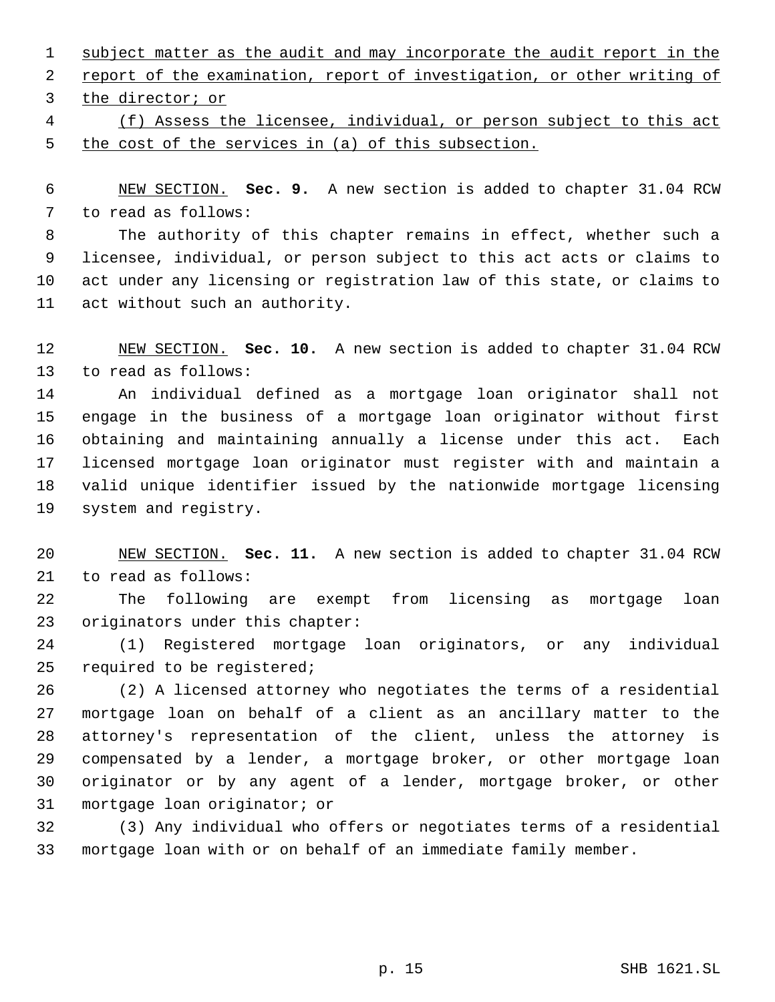1 subject matter as the audit and may incorporate the audit report in the 2 report of the examination, report of investigation, or other writing of the director; or

 (f) Assess the licensee, individual, or person subject to this act the cost of the services in (a) of this subsection.

 NEW SECTION. **Sec. 9.** A new section is added to chapter 31.04 RCW to read as follows:

 The authority of this chapter remains in effect, whether such a licensee, individual, or person subject to this act acts or claims to act under any licensing or registration law of this state, or claims to act without such an authority.

 NEW SECTION. **Sec. 10.** A new section is added to chapter 31.04 RCW to read as follows:

 An individual defined as a mortgage loan originator shall not engage in the business of a mortgage loan originator without first obtaining and maintaining annually a license under this act. Each licensed mortgage loan originator must register with and maintain a valid unique identifier issued by the nationwide mortgage licensing system and registry.

 NEW SECTION. **Sec. 11.** A new section is added to chapter 31.04 RCW to read as follows:

 The following are exempt from licensing as mortgage loan originators under this chapter:

 (1) Registered mortgage loan originators, or any individual required to be registered;

 (2) A licensed attorney who negotiates the terms of a residential mortgage loan on behalf of a client as an ancillary matter to the attorney's representation of the client, unless the attorney is compensated by a lender, a mortgage broker, or other mortgage loan originator or by any agent of a lender, mortgage broker, or other mortgage loan originator; or

 (3) Any individual who offers or negotiates terms of a residential mortgage loan with or on behalf of an immediate family member.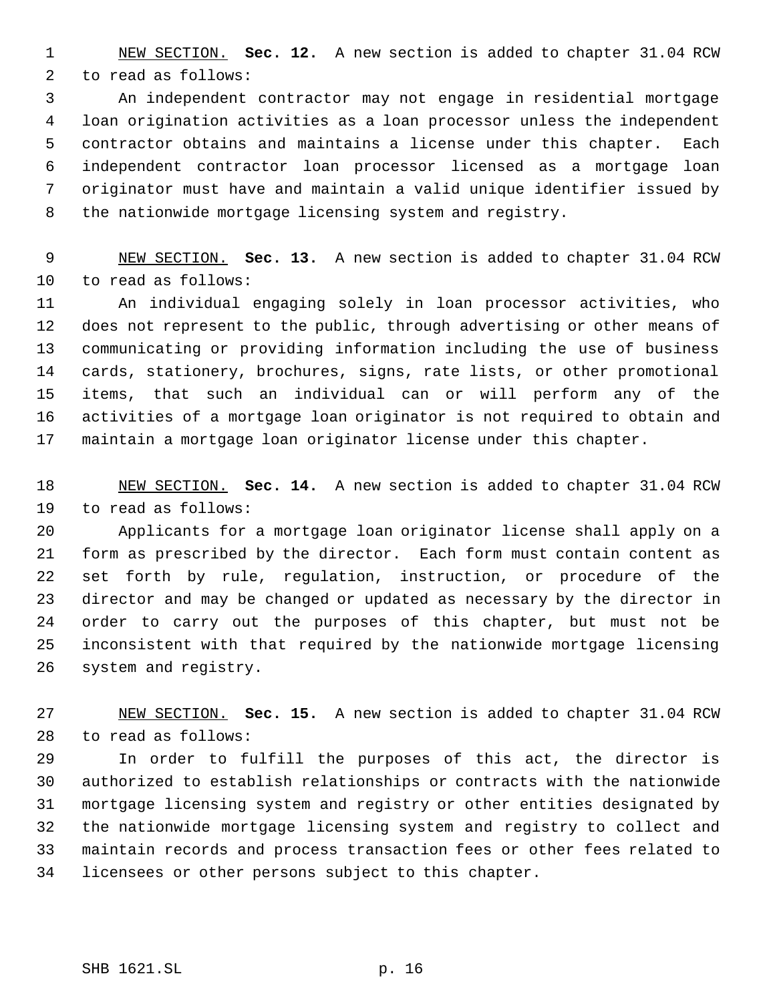NEW SECTION. **Sec. 12.** A new section is added to chapter 31.04 RCW to read as follows:

 An independent contractor may not engage in residential mortgage loan origination activities as a loan processor unless the independent contractor obtains and maintains a license under this chapter. Each independent contractor loan processor licensed as a mortgage loan originator must have and maintain a valid unique identifier issued by the nationwide mortgage licensing system and registry.

 NEW SECTION. **Sec. 13.** A new section is added to chapter 31.04 RCW to read as follows:

 An individual engaging solely in loan processor activities, who does not represent to the public, through advertising or other means of communicating or providing information including the use of business cards, stationery, brochures, signs, rate lists, or other promotional items, that such an individual can or will perform any of the activities of a mortgage loan originator is not required to obtain and maintain a mortgage loan originator license under this chapter.

 NEW SECTION. **Sec. 14.** A new section is added to chapter 31.04 RCW to read as follows:

 Applicants for a mortgage loan originator license shall apply on a form as prescribed by the director. Each form must contain content as set forth by rule, regulation, instruction, or procedure of the director and may be changed or updated as necessary by the director in order to carry out the purposes of this chapter, but must not be inconsistent with that required by the nationwide mortgage licensing system and registry.

 NEW SECTION. **Sec. 15.** A new section is added to chapter 31.04 RCW to read as follows:

 In order to fulfill the purposes of this act, the director is authorized to establish relationships or contracts with the nationwide mortgage licensing system and registry or other entities designated by the nationwide mortgage licensing system and registry to collect and maintain records and process transaction fees or other fees related to licensees or other persons subject to this chapter.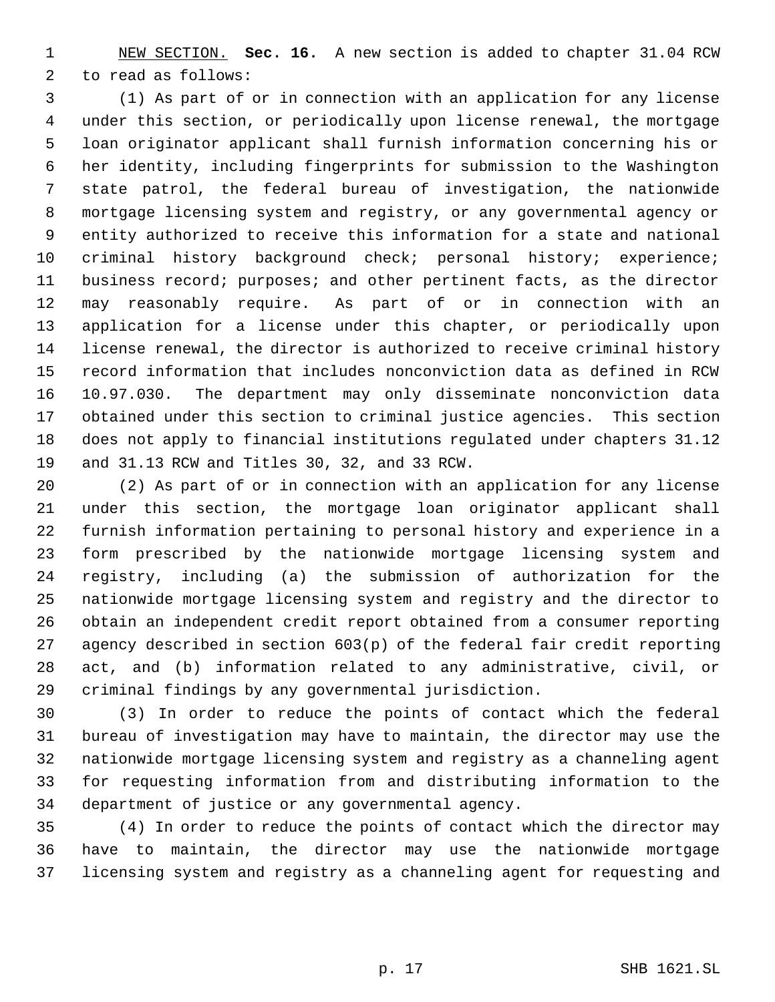NEW SECTION. **Sec. 16.** A new section is added to chapter 31.04 RCW to read as follows:

 (1) As part of or in connection with an application for any license under this section, or periodically upon license renewal, the mortgage loan originator applicant shall furnish information concerning his or her identity, including fingerprints for submission to the Washington state patrol, the federal bureau of investigation, the nationwide mortgage licensing system and registry, or any governmental agency or entity authorized to receive this information for a state and national criminal history background check; personal history; experience; business record; purposes; and other pertinent facts, as the director may reasonably require. As part of or in connection with an application for a license under this chapter, or periodically upon license renewal, the director is authorized to receive criminal history record information that includes nonconviction data as defined in RCW 10.97.030. The department may only disseminate nonconviction data obtained under this section to criminal justice agencies. This section does not apply to financial institutions regulated under chapters 31.12 and 31.13 RCW and Titles 30, 32, and 33 RCW.

 (2) As part of or in connection with an application for any license under this section, the mortgage loan originator applicant shall furnish information pertaining to personal history and experience in a form prescribed by the nationwide mortgage licensing system and registry, including (a) the submission of authorization for the nationwide mortgage licensing system and registry and the director to obtain an independent credit report obtained from a consumer reporting agency described in section 603(p) of the federal fair credit reporting act, and (b) information related to any administrative, civil, or criminal findings by any governmental jurisdiction.

 (3) In order to reduce the points of contact which the federal bureau of investigation may have to maintain, the director may use the nationwide mortgage licensing system and registry as a channeling agent for requesting information from and distributing information to the department of justice or any governmental agency.

 (4) In order to reduce the points of contact which the director may have to maintain, the director may use the nationwide mortgage licensing system and registry as a channeling agent for requesting and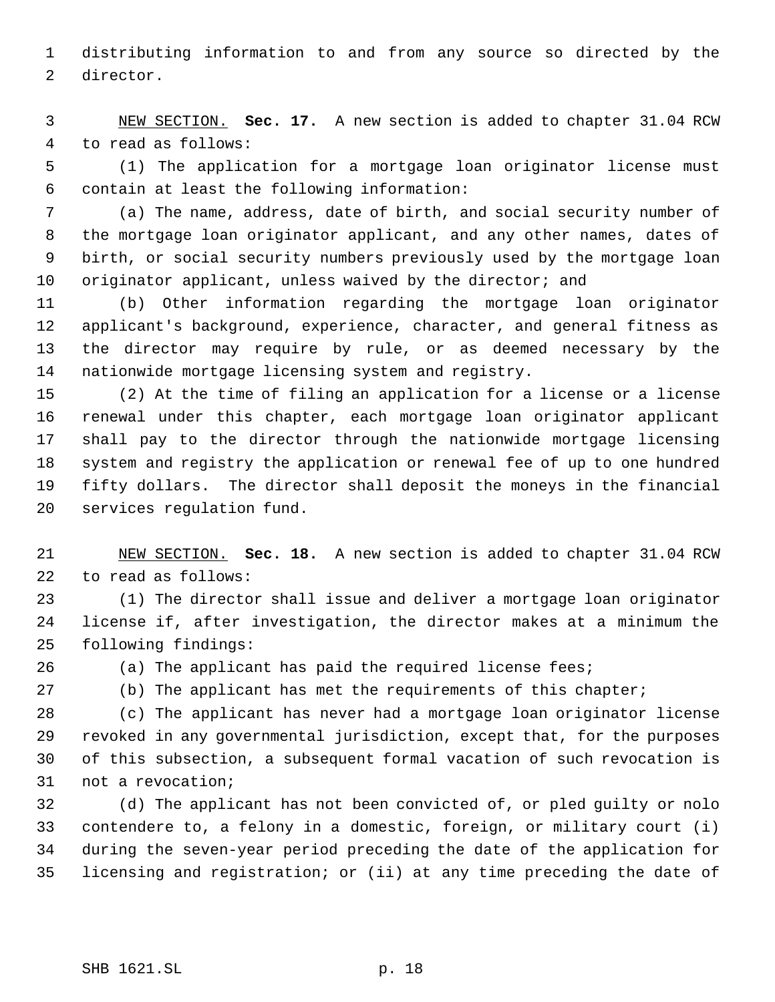distributing information to and from any source so directed by the director.

 NEW SECTION. **Sec. 17.** A new section is added to chapter 31.04 RCW to read as follows:

 (1) The application for a mortgage loan originator license must contain at least the following information:

 (a) The name, address, date of birth, and social security number of the mortgage loan originator applicant, and any other names, dates of birth, or social security numbers previously used by the mortgage loan 10 originator applicant, unless waived by the director; and

 (b) Other information regarding the mortgage loan originator applicant's background, experience, character, and general fitness as the director may require by rule, or as deemed necessary by the nationwide mortgage licensing system and registry.

 (2) At the time of filing an application for a license or a license renewal under this chapter, each mortgage loan originator applicant shall pay to the director through the nationwide mortgage licensing system and registry the application or renewal fee of up to one hundred fifty dollars. The director shall deposit the moneys in the financial services regulation fund.

 NEW SECTION. **Sec. 18.** A new section is added to chapter 31.04 RCW to read as follows:

 (1) The director shall issue and deliver a mortgage loan originator license if, after investigation, the director makes at a minimum the following findings:

(a) The applicant has paid the required license fees;

(b) The applicant has met the requirements of this chapter;

 (c) The applicant has never had a mortgage loan originator license revoked in any governmental jurisdiction, except that, for the purposes of this subsection, a subsequent formal vacation of such revocation is not a revocation;

 (d) The applicant has not been convicted of, or pled guilty or nolo contendere to, a felony in a domestic, foreign, or military court (i) during the seven-year period preceding the date of the application for licensing and registration; or (ii) at any time preceding the date of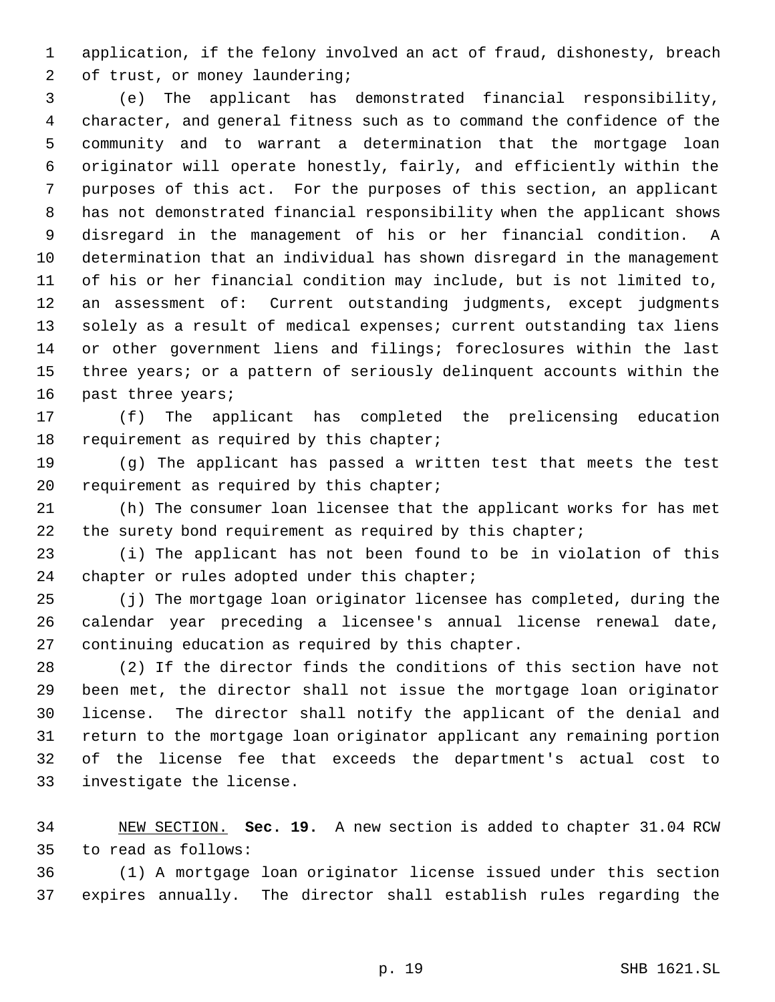application, if the felony involved an act of fraud, dishonesty, breach of trust, or money laundering;

 (e) The applicant has demonstrated financial responsibility, character, and general fitness such as to command the confidence of the community and to warrant a determination that the mortgage loan originator will operate honestly, fairly, and efficiently within the purposes of this act. For the purposes of this section, an applicant has not demonstrated financial responsibility when the applicant shows disregard in the management of his or her financial condition. A determination that an individual has shown disregard in the management of his or her financial condition may include, but is not limited to, an assessment of: Current outstanding judgments, except judgments solely as a result of medical expenses; current outstanding tax liens or other government liens and filings; foreclosures within the last three years; or a pattern of seriously delinquent accounts within the past three years;

 (f) The applicant has completed the prelicensing education 18 requirement as required by this chapter;

 (g) The applicant has passed a written test that meets the test 20 requirement as required by this chapter;

 (h) The consumer loan licensee that the applicant works for has met 22 the surety bond requirement as required by this chapter;

 (i) The applicant has not been found to be in violation of this 24 chapter or rules adopted under this chapter;

 (j) The mortgage loan originator licensee has completed, during the calendar year preceding a licensee's annual license renewal date, continuing education as required by this chapter.

 (2) If the director finds the conditions of this section have not been met, the director shall not issue the mortgage loan originator license. The director shall notify the applicant of the denial and return to the mortgage loan originator applicant any remaining portion of the license fee that exceeds the department's actual cost to investigate the license.

 NEW SECTION. **Sec. 19.** A new section is added to chapter 31.04 RCW to read as follows:

 (1) A mortgage loan originator license issued under this section expires annually. The director shall establish rules regarding the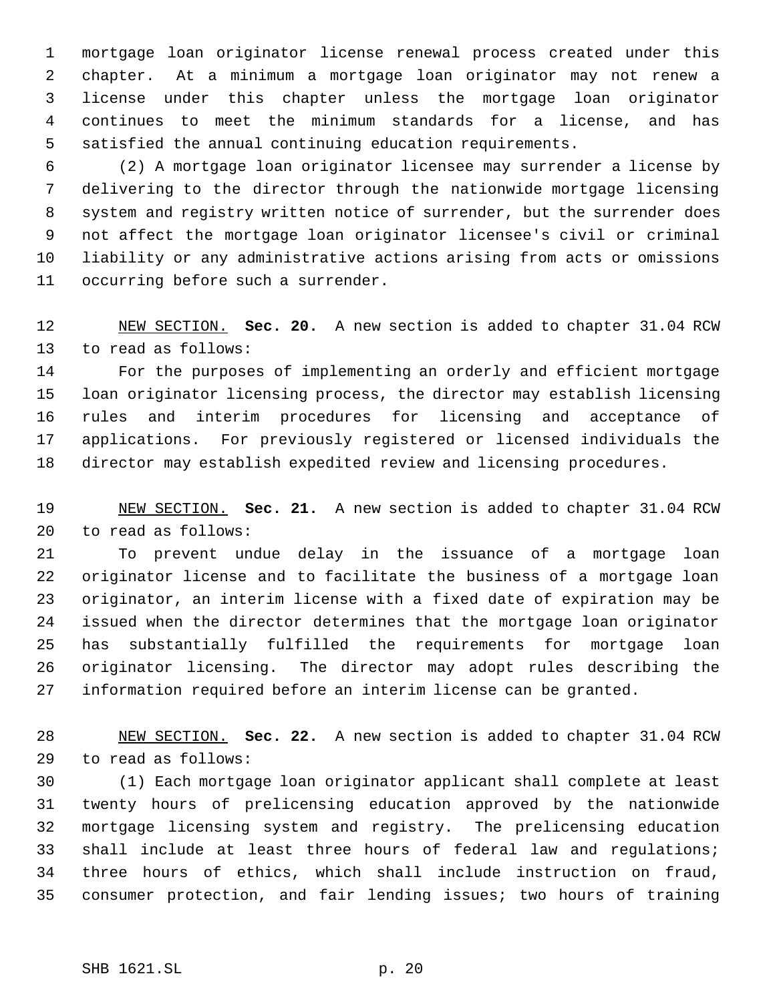mortgage loan originator license renewal process created under this chapter. At a minimum a mortgage loan originator may not renew a license under this chapter unless the mortgage loan originator continues to meet the minimum standards for a license, and has satisfied the annual continuing education requirements.

 (2) A mortgage loan originator licensee may surrender a license by delivering to the director through the nationwide mortgage licensing system and registry written notice of surrender, but the surrender does not affect the mortgage loan originator licensee's civil or criminal liability or any administrative actions arising from acts or omissions occurring before such a surrender.

 NEW SECTION. **Sec. 20.** A new section is added to chapter 31.04 RCW to read as follows:

 For the purposes of implementing an orderly and efficient mortgage loan originator licensing process, the director may establish licensing rules and interim procedures for licensing and acceptance of applications. For previously registered or licensed individuals the director may establish expedited review and licensing procedures.

 NEW SECTION. **Sec. 21.** A new section is added to chapter 31.04 RCW to read as follows:

 To prevent undue delay in the issuance of a mortgage loan originator license and to facilitate the business of a mortgage loan originator, an interim license with a fixed date of expiration may be issued when the director determines that the mortgage loan originator has substantially fulfilled the requirements for mortgage loan originator licensing. The director may adopt rules describing the information required before an interim license can be granted.

 NEW SECTION. **Sec. 22.** A new section is added to chapter 31.04 RCW to read as follows:

 (1) Each mortgage loan originator applicant shall complete at least twenty hours of prelicensing education approved by the nationwide mortgage licensing system and registry. The prelicensing education shall include at least three hours of federal law and regulations; three hours of ethics, which shall include instruction on fraud, consumer protection, and fair lending issues; two hours of training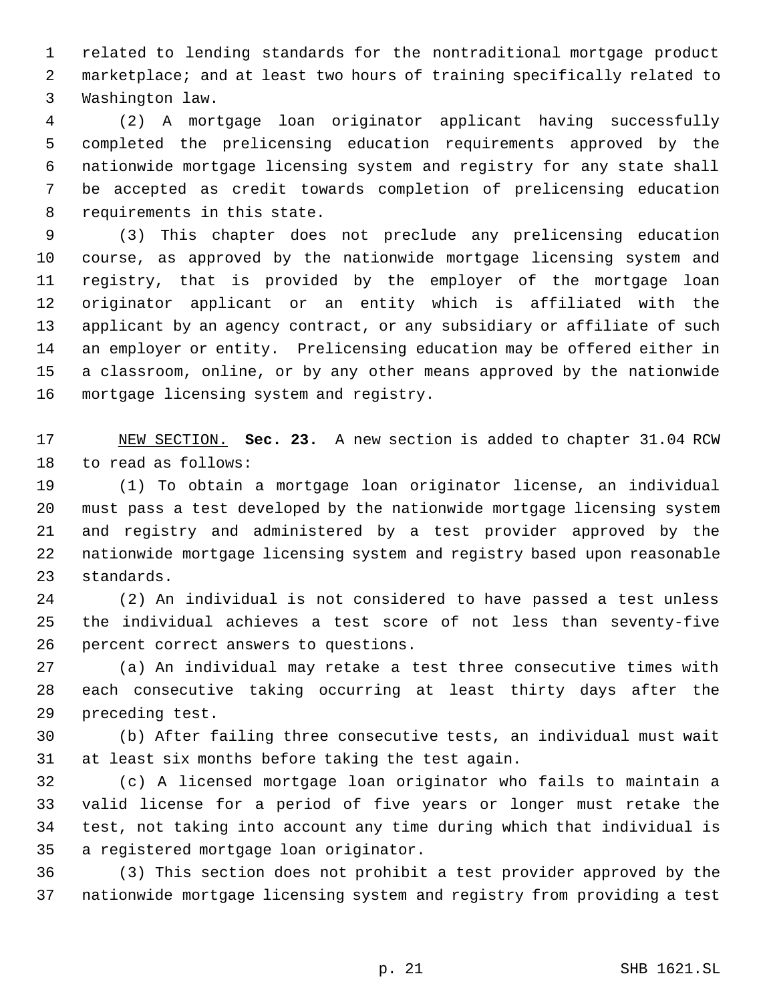related to lending standards for the nontraditional mortgage product marketplace; and at least two hours of training specifically related to Washington law.

 (2) A mortgage loan originator applicant having successfully completed the prelicensing education requirements approved by the nationwide mortgage licensing system and registry for any state shall be accepted as credit towards completion of prelicensing education requirements in this state.

 (3) This chapter does not preclude any prelicensing education course, as approved by the nationwide mortgage licensing system and registry, that is provided by the employer of the mortgage loan originator applicant or an entity which is affiliated with the applicant by an agency contract, or any subsidiary or affiliate of such an employer or entity. Prelicensing education may be offered either in a classroom, online, or by any other means approved by the nationwide mortgage licensing system and registry.

 NEW SECTION. **Sec. 23.** A new section is added to chapter 31.04 RCW to read as follows:

 (1) To obtain a mortgage loan originator license, an individual must pass a test developed by the nationwide mortgage licensing system and registry and administered by a test provider approved by the nationwide mortgage licensing system and registry based upon reasonable standards.

 (2) An individual is not considered to have passed a test unless the individual achieves a test score of not less than seventy-five percent correct answers to questions.

 (a) An individual may retake a test three consecutive times with each consecutive taking occurring at least thirty days after the preceding test.

 (b) After failing three consecutive tests, an individual must wait at least six months before taking the test again.

 (c) A licensed mortgage loan originator who fails to maintain a valid license for a period of five years or longer must retake the test, not taking into account any time during which that individual is a registered mortgage loan originator.

 (3) This section does not prohibit a test provider approved by the nationwide mortgage licensing system and registry from providing a test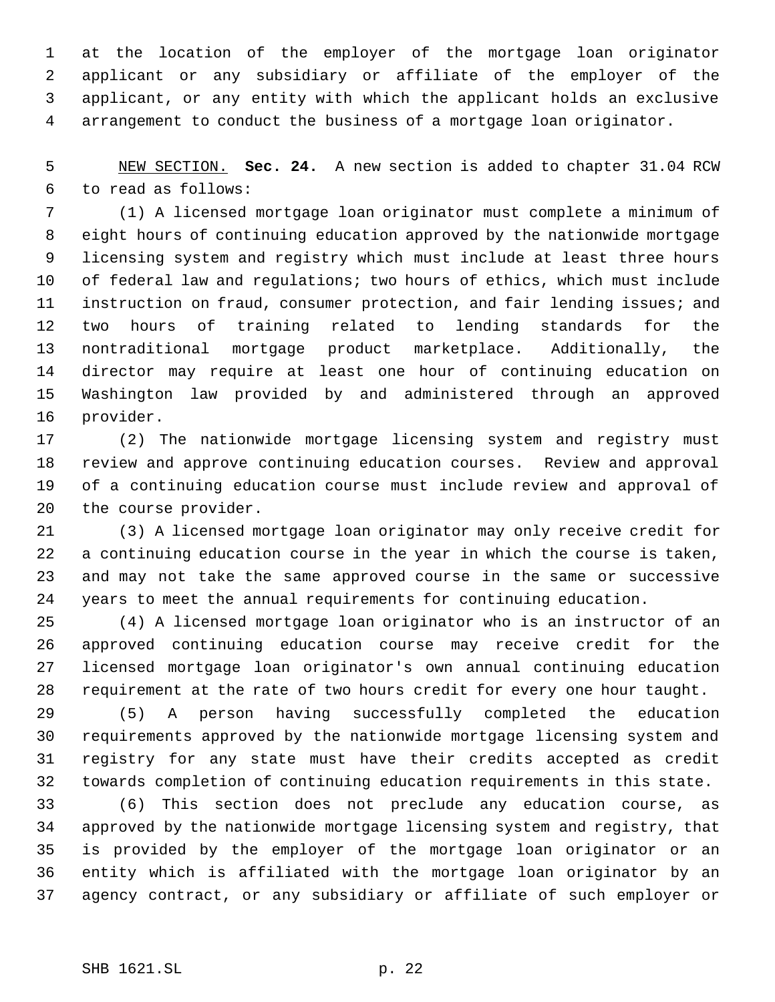at the location of the employer of the mortgage loan originator applicant or any subsidiary or affiliate of the employer of the applicant, or any entity with which the applicant holds an exclusive arrangement to conduct the business of a mortgage loan originator.

 NEW SECTION. **Sec. 24.** A new section is added to chapter 31.04 RCW to read as follows:

 (1) A licensed mortgage loan originator must complete a minimum of eight hours of continuing education approved by the nationwide mortgage licensing system and registry which must include at least three hours of federal law and regulations; two hours of ethics, which must include instruction on fraud, consumer protection, and fair lending issues; and two hours of training related to lending standards for the nontraditional mortgage product marketplace. Additionally, the director may require at least one hour of continuing education on Washington law provided by and administered through an approved provider.

 (2) The nationwide mortgage licensing system and registry must review and approve continuing education courses. Review and approval of a continuing education course must include review and approval of the course provider.

 (3) A licensed mortgage loan originator may only receive credit for a continuing education course in the year in which the course is taken, and may not take the same approved course in the same or successive years to meet the annual requirements for continuing education.

 (4) A licensed mortgage loan originator who is an instructor of an approved continuing education course may receive credit for the licensed mortgage loan originator's own annual continuing education requirement at the rate of two hours credit for every one hour taught.

 (5) A person having successfully completed the education requirements approved by the nationwide mortgage licensing system and registry for any state must have their credits accepted as credit towards completion of continuing education requirements in this state.

 (6) This section does not preclude any education course, as approved by the nationwide mortgage licensing system and registry, that is provided by the employer of the mortgage loan originator or an entity which is affiliated with the mortgage loan originator by an agency contract, or any subsidiary or affiliate of such employer or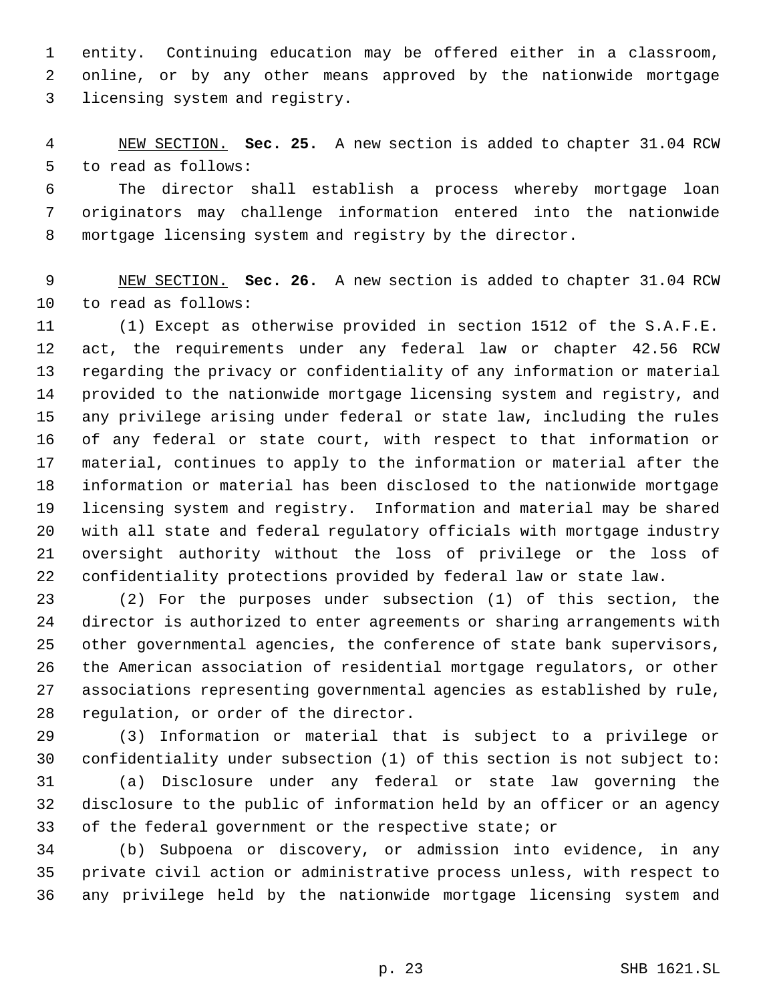entity. Continuing education may be offered either in a classroom, online, or by any other means approved by the nationwide mortgage licensing system and registry.

 NEW SECTION. **Sec. 25.** A new section is added to chapter 31.04 RCW to read as follows:

 The director shall establish a process whereby mortgage loan originators may challenge information entered into the nationwide mortgage licensing system and registry by the director.

 NEW SECTION. **Sec. 26.** A new section is added to chapter 31.04 RCW to read as follows:

 (1) Except as otherwise provided in section 1512 of the S.A.F.E. act, the requirements under any federal law or chapter 42.56 RCW regarding the privacy or confidentiality of any information or material provided to the nationwide mortgage licensing system and registry, and any privilege arising under federal or state law, including the rules of any federal or state court, with respect to that information or material, continues to apply to the information or material after the information or material has been disclosed to the nationwide mortgage licensing system and registry. Information and material may be shared with all state and federal regulatory officials with mortgage industry oversight authority without the loss of privilege or the loss of confidentiality protections provided by federal law or state law.

 (2) For the purposes under subsection (1) of this section, the director is authorized to enter agreements or sharing arrangements with other governmental agencies, the conference of state bank supervisors, the American association of residential mortgage regulators, or other associations representing governmental agencies as established by rule, regulation, or order of the director.

 (3) Information or material that is subject to a privilege or confidentiality under subsection (1) of this section is not subject to:

 (a) Disclosure under any federal or state law governing the disclosure to the public of information held by an officer or an agency of the federal government or the respective state; or

 (b) Subpoena or discovery, or admission into evidence, in any private civil action or administrative process unless, with respect to any privilege held by the nationwide mortgage licensing system and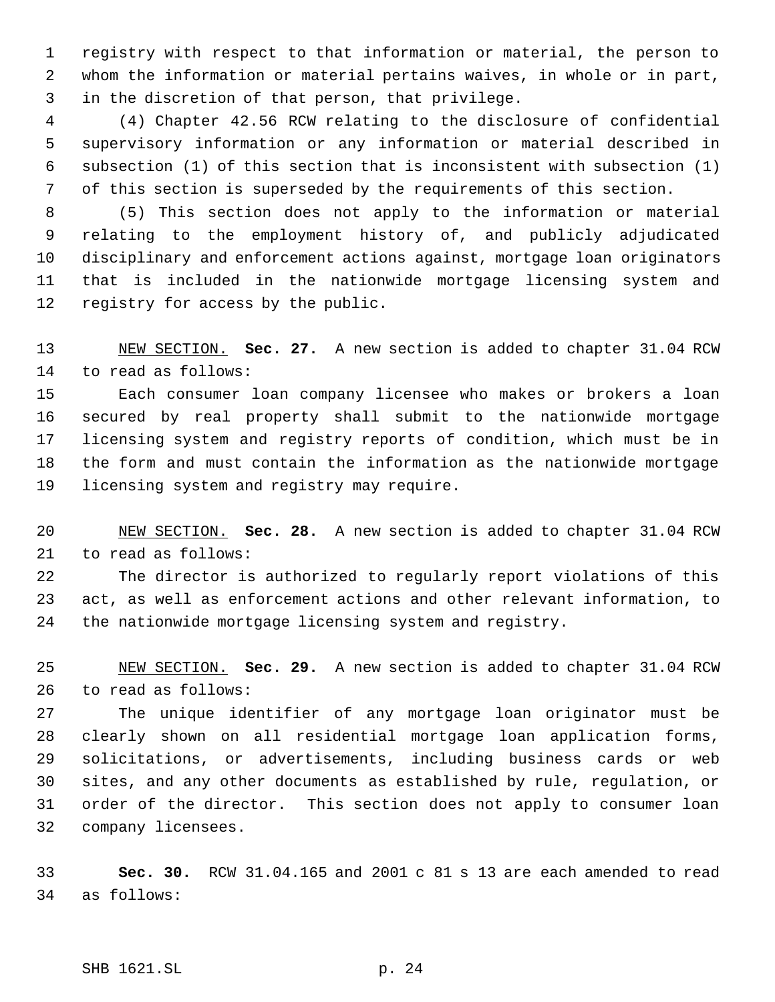registry with respect to that information or material, the person to whom the information or material pertains waives, in whole or in part, in the discretion of that person, that privilege.

 (4) Chapter 42.56 RCW relating to the disclosure of confidential supervisory information or any information or material described in subsection (1) of this section that is inconsistent with subsection (1) of this section is superseded by the requirements of this section.

 (5) This section does not apply to the information or material relating to the employment history of, and publicly adjudicated disciplinary and enforcement actions against, mortgage loan originators that is included in the nationwide mortgage licensing system and registry for access by the public.

 NEW SECTION. **Sec. 27.** A new section is added to chapter 31.04 RCW to read as follows:

 Each consumer loan company licensee who makes or brokers a loan secured by real property shall submit to the nationwide mortgage licensing system and registry reports of condition, which must be in the form and must contain the information as the nationwide mortgage licensing system and registry may require.

 NEW SECTION. **Sec. 28.** A new section is added to chapter 31.04 RCW to read as follows:

 The director is authorized to regularly report violations of this act, as well as enforcement actions and other relevant information, to the nationwide mortgage licensing system and registry.

 NEW SECTION. **Sec. 29.** A new section is added to chapter 31.04 RCW to read as follows:

 The unique identifier of any mortgage loan originator must be clearly shown on all residential mortgage loan application forms, solicitations, or advertisements, including business cards or web sites, and any other documents as established by rule, regulation, or order of the director. This section does not apply to consumer loan company licensees.

 **Sec. 30.** RCW 31.04.165 and 2001 c 81 s 13 are each amended to read as follows:

SHB 1621.SL p. 24